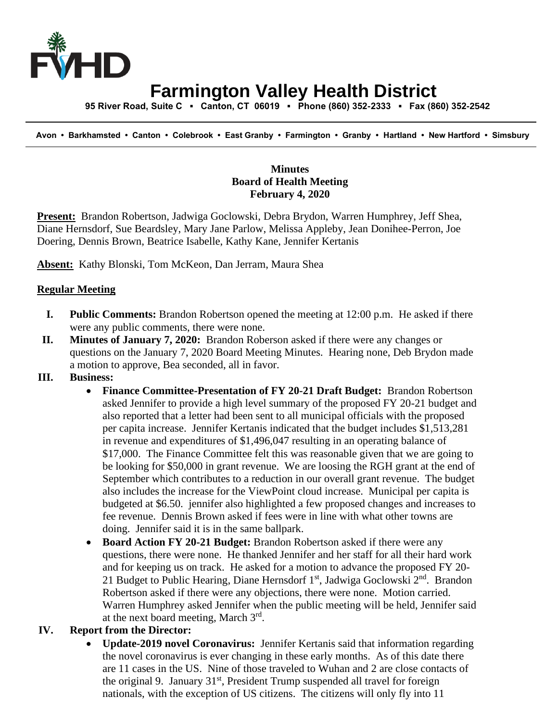

## **Farmington Valley Health District**

 **95 River Road, Suite C ▪ Canton, CT 06019 ▪ Phone (860) 352-2333 ▪ Fax (860) 352-2542**

 **Avon • Barkhamsted • Canton • Colebrook • East Granby • Farmington • Granby • Hartland • New Hartford • Simsbury**

## **Minutes Board of Health Meeting February 4, 2020**

**Present:** Brandon Robertson, Jadwiga Goclowski, Debra Brydon, Warren Humphrey, Jeff Shea, Diane Hernsdorf, Sue Beardsley, Mary Jane Parlow, Melissa Appleby, Jean Donihee-Perron, Joe Doering, Dennis Brown, Beatrice Isabelle, Kathy Kane, Jennifer Kertanis

**Absent:** Kathy Blonski, Tom McKeon, Dan Jerram, Maura Shea

## **Regular Meeting**

- **I. Public Comments:** Brandon Robertson opened the meeting at 12:00 p.m. He asked if there were any public comments, there were none.
- **II. Minutes of January 7, 2020:** Brandon Roberson asked if there were any changes or questions on the January 7, 2020 Board Meeting Minutes. Hearing none, Deb Brydon made a motion to approve, Bea seconded, all in favor.
- **III. Business:**
	- **Finance Committee-Presentation of FY 20-21 Draft Budget:** Brandon Robertson asked Jennifer to provide a high level summary of the proposed FY 20-21 budget and also reported that a letter had been sent to all municipal officials with the proposed per capita increase. Jennifer Kertanis indicated that the budget includes \$1,513,281 in revenue and expenditures of \$1,496,047 resulting in an operating balance of \$17,000. The Finance Committee felt this was reasonable given that we are going to be looking for \$50,000 in grant revenue. We are loosing the RGH grant at the end of September which contributes to a reduction in our overall grant revenue. The budget also includes the increase for the ViewPoint cloud increase. Municipal per capita is budgeted at \$6.50. jennifer also highlighted a few proposed changes and increases to fee revenue. Dennis Brown asked if fees were in line with what other towns are doing. Jennifer said it is in the same ballpark.
	- **Board Action FY 20-21 Budget:** Brandon Robertson asked if there were any questions, there were none. He thanked Jennifer and her staff for all their hard work and for keeping us on track. He asked for a motion to advance the proposed FY 20- 21 Budget to Public Hearing, Diane Hernsdorf  $1<sup>st</sup>$ , Jadwiga Goclowski  $2<sup>nd</sup>$ . Brandon Robertson asked if there were any objections, there were none. Motion carried. Warren Humphrey asked Jennifer when the public meeting will be held, Jennifer said at the next board meeting, March 3rd.

## **IV. Report from the Director:**

• **Update-2019 novel Coronavirus:** Jennifer Kertanis said that information regarding the novel coronavirus is ever changing in these early months. As of this date there are 11 cases in the US. Nine of those traveled to Wuhan and 2 are close contacts of the original 9. January  $31<sup>st</sup>$ , President Trump suspended all travel for foreign nationals, with the exception of US citizens. The citizens will only fly into 11